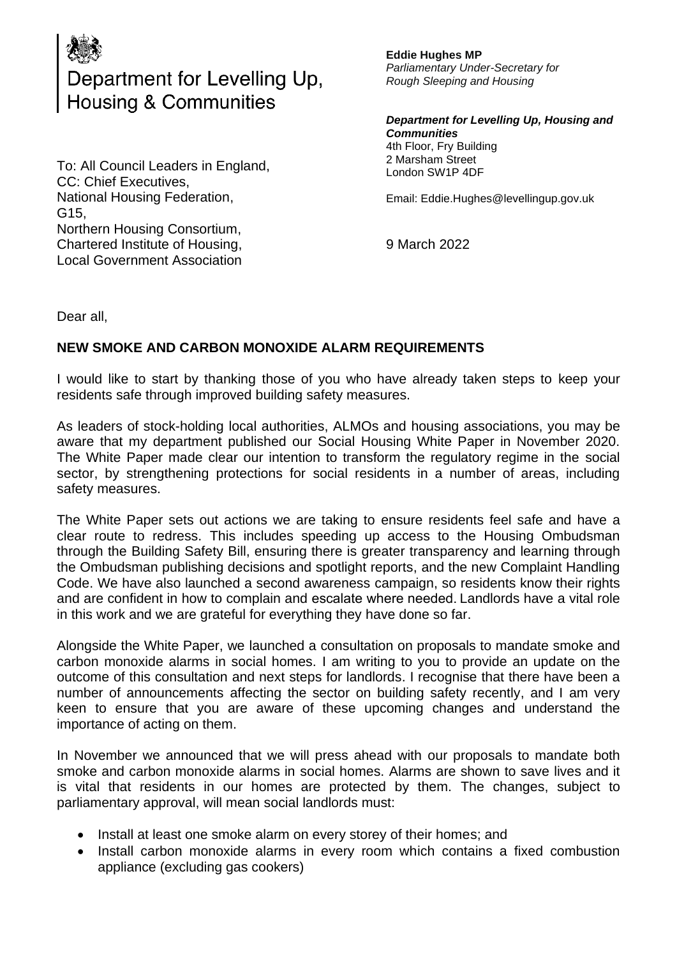

## Department for Levelling Up,<br>Housing & Communities

To: All Council Leaders in England, CC: Chief Executives, National Housing Federation, G15, Northern Housing Consortium, Chartered Institute of Housing, Local Government Association

**Eddie Hughes MP** *Parliamentary Under-Secretary for Rough Sleeping and Housing*

*Department for Levelling Up, Housing and Communities*  4th Floor, Fry Building 2 Marsham Street London SW1P 4DF

Email: Eddie.Hughes@levellingup.gov.uk

9 March 2022

Dear all,

## **NEW SMOKE AND CARBON MONOXIDE ALARM REQUIREMENTS**

I would like to start by thanking those of you who have already taken steps to keep your residents safe through improved building safety measures.

As leaders of stock-holding local authorities, ALMOs and housing associations, you may be aware that my department published our Social Housing White Paper in November 2020. The White Paper made clear our intention to transform the regulatory regime in the social sector, by strengthening protections for social residents in a number of areas, including safety measures.

The White Paper sets out actions we are taking to ensure residents feel safe and have a clear route to redress. This includes speeding up access to the Housing Ombudsman through the Building Safety Bill, ensuring there is greater transparency and learning through the Ombudsman publishing decisions and spotlight reports, and the new Complaint Handling Code. We have also launched a second awareness campaign, so residents know their rights and are confident in how to complain and escalate where needed. Landlords have a vital role in this work and we are grateful for everything they have done so far.

Alongside the White Paper, we launched a consultation on proposals to mandate smoke and carbon monoxide alarms in social homes. I am writing to you to provide an update on the outcome of this consultation and next steps for landlords. I recognise that there have been a number of announcements affecting the sector on building safety recently, and I am very keen to ensure that you are aware of these upcoming changes and understand the importance of acting on them.

In November we announced that we will press ahead with our proposals to mandate both smoke and carbon monoxide alarms in social homes. Alarms are shown to save lives and it is vital that residents in our homes are protected by them. The changes, subject to parliamentary approval, will mean social landlords must:

- Install at least one smoke alarm on every storey of their homes; and
- Install carbon monoxide alarms in every room which contains a fixed combustion appliance (excluding gas cookers)